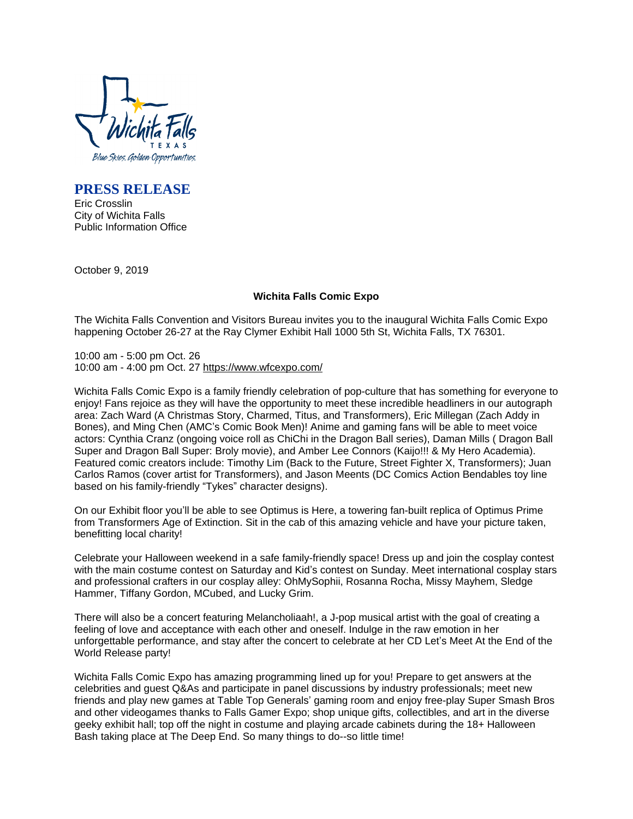

**PRESS RELEASE**

Eric Crosslin City of Wichita Falls Public Information Office

October 9, 2019

## **Wichita Falls Comic Expo**

The Wichita Falls Convention and Visitors Bureau invites you to the inaugural Wichita Falls Comic Expo happening October 26-27 at the Ray Clymer Exhibit Hall 1000 5th St, Wichita Falls, TX 76301.

10:00 am - 5:00 pm Oct. 26 10:00 am - 4:00 pm Oct. 27 <https://www.wfcexpo.com/>

Wichita Falls Comic Expo is a family friendly celebration of pop-culture that has something for everyone to enjoy! Fans rejoice as they will have the opportunity to meet these incredible headliners in our autograph area: Zach Ward (A Christmas Story, Charmed, Titus, and Transformers), Eric Millegan (Zach Addy in Bones), and Ming Chen (AMC's Comic Book Men)! Anime and gaming fans will be able to meet voice actors: Cynthia Cranz (ongoing voice roll as ChiChi in the Dragon Ball series), Daman Mills ( Dragon Ball Super and Dragon Ball Super: Broly movie), and Amber Lee Connors (Kaijo!!! & My Hero Academia). Featured comic creators include: Timothy Lim (Back to the Future, Street Fighter X, Transformers); Juan Carlos Ramos (cover artist for Transformers), and Jason Meents (DC Comics Action Bendables toy line based on his family-friendly "Tykes" character designs).

On our Exhibit floor you'll be able to see Optimus is Here, a towering fan-built replica of Optimus Prime from Transformers Age of Extinction. Sit in the cab of this amazing vehicle and have your picture taken, benefitting local charity!

Celebrate your Halloween weekend in a safe family-friendly space! Dress up and join the cosplay contest with the main costume contest on Saturday and Kid's contest on Sunday. Meet international cosplay stars and professional crafters in our cosplay alley: OhMySophii, Rosanna Rocha, Missy Mayhem, Sledge Hammer, Tiffany Gordon, MCubed, and Lucky Grim.

There will also be a concert featuring Melancholiaah!, a J-pop musical artist with the goal of creating a feeling of love and acceptance with each other and oneself. Indulge in the raw emotion in her unforgettable performance, and stay after the concert to celebrate at her CD Let's Meet At the End of the World Release party!

Wichita Falls Comic Expo has amazing programming lined up for you! Prepare to get answers at the celebrities and guest Q&As and participate in panel discussions by industry professionals; meet new friends and play new games at Table Top Generals' gaming room and enjoy free-play Super Smash Bros and other videogames thanks to Falls Gamer Expo; shop unique gifts, collectibles, and art in the diverse geeky exhibit hall; top off the night in costume and playing arcade cabinets during the 18+ Halloween Bash taking place at The Deep End. So many things to do--so little time!